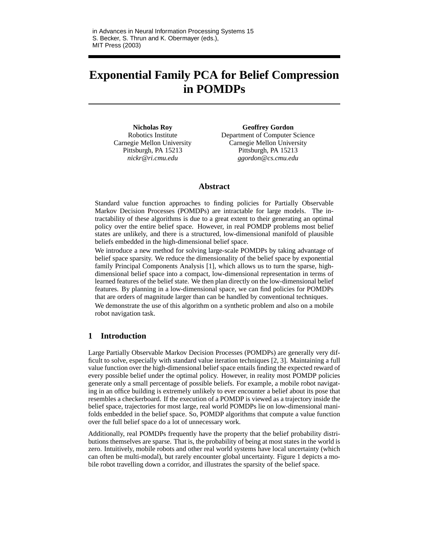# **Exponential Family PCA for Belief Compression in POMDPs**

**Nicholas Roy** Robotics Institute Carnegie Mellon University Pittsburgh, PA 15213 *nickr@ri.cmu.edu*

**Geoffrey Gordon** Department of Computer Science Carnegie Mellon University Pittsburgh, PA 15213 *ggordon@cs.cmu.edu*

## **Abstract**

Standard value function approaches to finding policies for Partially Observable Markov Decision Processes (POMDPs) are intractable for large models. The intractability of these algorithms is due to a great extent to their generating an optimal policy over the entire belief space. However, in real POMDP problems most belief states are unlikely, and there is a structured, low-dimensional manifold of plausible beliefs embedded in the high-dimensional belief space.

We introduce a new method for solving large-scale POMDPs by taking advantage of belief space sparsity. We reduce the dimensionality of the belief space by exponential family Principal Components Analysis [1], which allows us to turn the sparse, highdimensional belief space into a compact, low-dimensional representation in terms of learned features of the belief state. We then plan directly on the low-dimensional belief features. By planning in a low-dimensional space, we can find policies for POMDPs that are orders of magnitude larger than can be handled by conventional techniques.

We demonstrate the use of this algorithm on a synthetic problem and also on a mobile robot navigation task.

## **1 Introduction**

Large Partially Observable Markov Decision Processes (POMDPs) are generally very difficult to solve, especially with standard value iteration techniques [2, 3]. Maintaining a full value function over the high-dimensional belief space entails finding the expected reward of every possible belief under the optimal policy. However, in reality most POMDP policies generate only a small percentage of possible beliefs. For example, a mobile robot navigating in an office building is extremely unlikely to ever encounter a belief about its pose that resembles a checkerboard. If the execution of a POMDP is viewed as a trajectory inside the belief space, trajectories for most large, real world POMDPs lie on low-dimensional manifolds embedded in the belief space. So, POMDP algorithms that compute a value function over the full belief space do a lot of unnecessary work.

Additionally, real POMDPs frequently have the property that the belief probability distributions themselves are sparse. That is, the probability of being at most states in the world is zero. Intuitively, mobile robots and other real world systems have local uncertainty (which can often be multi-modal), but rarely encounter global uncertainty. Figure 1 depicts a mobile robot travelling down a corridor, and illustrates the sparsity of the belief space.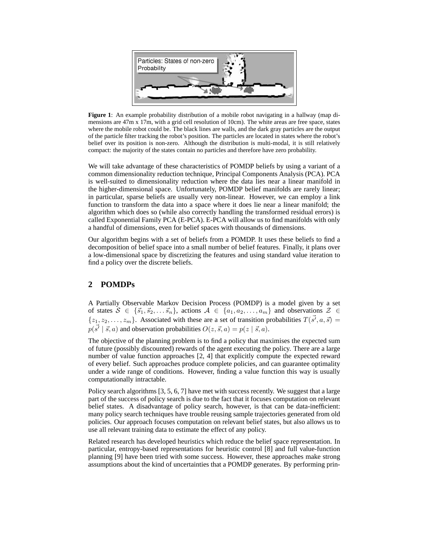

**Figure 1**: An example probability distribution of a mobile robot navigating in a hallway (map dimensions are 47m x 17m, with a grid cell resolution of 10cm). The white areas are free space, states where the mobile robot could be. The black lines are walls, and the dark gray particles are the output of the particle filter tracking the robot's position. The particles are located in states where the robot's belief over its position is non-zero. Although the distribution is multi-modal, it is still relatively compact: the majority of the states contain no particles and therefore have zero probability.

We will take advantage of these characteristics of POMDP beliefs by using a variant of a common dimensionality reduction technique, Principal Components Analysis (PCA). PCA is well-suited to dimensionality reduction where the data lies near a linear manifold in the higher-dimensional space. Unfortunately, POMDP belief manifolds are rarely linear; in particular, sparse beliefs are usually very non-linear. However, we can employ a link function to transform the data into a space where it does lie near a linear manifold; the algorithm which does so (while also correctly handling the transformed residual errors) is called Exponential Family PCA (E-PCA). E-PCA will allow us to find manifolds with only a handful of dimensions, even for belief spaces with thousands of dimensions.

Our algorithm begins with a set of beliefs from a POMDP. It uses these beliefs to find a decomposition of belief space into a small number of belief features. Finally, it plans over a low-dimensional space by discretizing the features and using standard value iteration to find a policy over the discrete beliefs.

## **2 POMDPs**

A Partially Observable Markov Decision Process (POMDP) is a model given by a set of states  $S \in \{\vec{s}_1, \vec{s}_2, \dots, \vec{s}_n\}$ , actions  $A \in \{a_1, a_2, \dots, a_m\}$  and observations  $\mathcal{Z} \in$  $\{z_1, z_2, \ldots, z_m\}$ . Associated with these are a set of transition probabilities  $T(\vec{s'}, a, \vec{s}) =$  $p(\vec{s'} \mid \vec{s}, a)$  and observation probabilities  $O(z, \vec{s}, a) = p(z \mid \vec{s}, a)$ .

The objective of the planning problem is to find a policy that maximises the expected sum of future (possibly discounted) rewards of the agent executing the policy. There are a large number of value function approaches [2, 4] that explicitly compute the expected reward of every belief. Such approaches produce complete policies, and can guarantee optimality under a wide range of conditions. However, finding a value function this way is usually computationally intractable.

Policy search algorithms [3, 5, 6, 7] have met with success recently. We suggest that a large part of the success of policy search is due to the fact that it focuses computation on relevant belief states. A disadvantage of policy search, however, is that can be data-inefficient: many policy search techniques have trouble reusing sample trajectories generated from old policies. Our approach focuses computation on relevant belief states, but also allows us to use all relevant training data to estimate the effect of any policy.

Related research has developed heuristics which reduce the belief space representation. In particular, entropy-based representations for heuristic control [8] and full value-function planning [9] have been tried with some success. However, these approaches make strong assumptions about the kind of uncertainties that a POMDP generates. By performing prin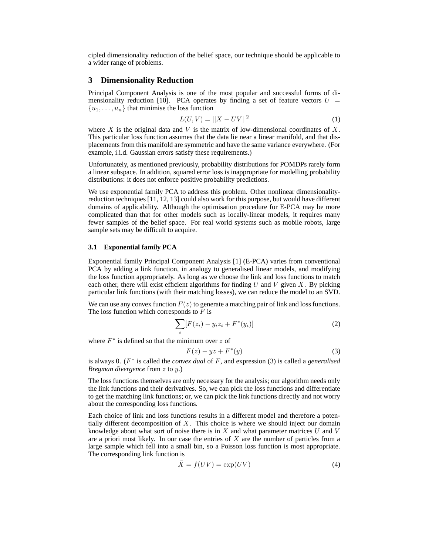cipled dimensionality reduction of the belief space, our technique should be applicable to a wider range of problems.

## **3 Dimensionality Reduction**

Principal Component Analysis is one of the most popular and successful forms of dimensionality reduction [10]. PCA operates by finding a set of feature vectors  $U =$  $\{u_1, \ldots, u_n\}$  that minimise the loss function

$$
L(U, V) = ||X - UV||^2
$$
 (1)

where X is the original data and V is the matrix of low-dimensional coordinates of X. This particular loss function assumes that the data lie near a linear manifold, and that displacements from this manifold are symmetric and have the same variance everywhere. (For example, i.i.d. Gaussian errors satisfy these requirements.)

Unfortunately, as mentioned previously, probability distributions for POMDPs rarely form a linear subspace. In addition, squared error loss is inappropriate for modelling probability distributions: it does not enforce positive probability predictions.

We use exponential family PCA to address this problem. Other nonlinear dimensionalityreduction techniques [11, 12, 13] could also work for this purpose, but would have different domains of applicability. Although the optimisation procedure for E-PCA may be more complicated than that for other models such as locally-linear models, it requires many fewer samples of the belief space. For real world systems such as mobile robots, large sample sets may be difficult to acquire.

#### **3.1 Exponential family PCA**

Exponential family Principal Component Analysis [1] (E-PCA) varies from conventional PCA by adding a link function, in analogy to generalised linear models, and modifying the loss function appropriately. As long as we choose the link and loss functions to match each other, there will exist efficient algorithms for finding U and V given X. By picking particular link functions (with their matching losses), we can reduce the model to an SVD.

We can use any convex function  $F(z)$  to generate a matching pair of link and loss functions. The loss function which corresponds to  $F$  is

$$
\sum_{i} [F(z_i) - y_i z_i + F^*(y_i)] \tag{2}
$$

where  $F^*$  is defined so that the minimum over z of

$$
F(z) - yz + F^*(y) \tag{3}
$$

is always 0. (F ∗ is called the *convex dual* of F, and expression (3) is called a *generalised Bregman divergence* from z to y.)

The loss functions themselves are only necessary for the analysis; our algorithm needs only the link functions and their derivatives. So, we can pick the loss functions and differentiate to get the matching link functions; or, we can pick the link functions directly and not worry about the corresponding loss functions.

Each choice of link and loss functions results in a different model and therefore a potentially different decomposition of  $X$ . This choice is where we should inject our domain knowledge about what sort of noise there is in  $X$  and what parameter matrices  $U$  and  $V$ are a priori most likely. In our case the entries of  $X$  are the number of particles from a large sample which fell into a small bin, so a Poisson loss function is most appropriate. The corresponding link function is

$$
\bar{X} = f(UV) = \exp(UV) \tag{4}
$$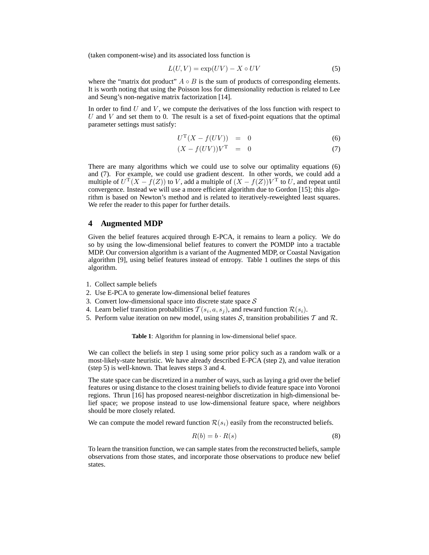(taken component-wise) and its associated loss function is

$$
L(U, V) = \exp(UV) - X \circ UV \tag{5}
$$

where the "matrix dot product"  $A \circ B$  is the sum of products of corresponding elements. It is worth noting that using the Poisson loss for dimensionality reduction is related to Lee and Seung's non-negative matrix factorization [14].

In order to find U and V, we compute the derivatives of the loss function with respect to U and V and set them to 0. The result is a set of fixed-point equations that the optimal parameter settings must satisfy:

$$
U^{\mathrm{T}}(X - f(UV)) = 0 \tag{6}
$$

$$
(X - f(UV))VT = 0
$$
\n(7)

There are many algorithms which we could use to solve our optimality equations (6) and (7). For example, we could use gradient descent. In other words, we could add a multiple of  $U^{\mathrm{T}}(X - f(Z))$  to V, add a multiple of  $(X - f(Z))V^{\mathrm{T}}$  to U, and repeat until convergence. Instead we will use a more efficient algorithm due to Gordon [15]; this algorithm is based on Newton's method and is related to iteratively-reweighted least squares. We refer the reader to this paper for further details.

## **4 Augmented MDP**

Given the belief features acquired through E-PCA, it remains to learn a policy. We do so by using the low-dimensional belief features to convert the POMDP into a tractable MDP. Our conversion algorithm is a variant of the Augmented MDP, or Coastal Navigation algorithm [9], using belief features instead of entropy. Table 1 outlines the steps of this algorithm.

- 1. Collect sample beliefs
- 2. Use E-PCA to generate low-dimensional belief features
- 3. Convert low-dimensional space into discrete state space  $S$
- 4. Learn belief transition probabilities  $T(s_i, a, s_j)$ , and reward function  $\mathcal{R}(s_i)$ .
- 5. Perform value iteration on new model, using states S, transition probabilities T and R.

**Table 1**: Algorithm for planning in low-dimensional belief space.

We can collect the beliefs in step 1 using some prior policy such as a random walk or a most-likely-state heuristic. We have already described E-PCA (step 2), and value iteration (step 5) is well-known. That leaves steps 3 and 4.

The state space can be discretized in a number of ways, such as laying a grid over the belief features or using distance to the closest training beliefs to divide feature space into Voronoi regions. Thrun [16] has proposed nearest-neighbor discretization in high-dimensional belief space; we propose instead to use low-dimensional feature space, where neighbors should be more closely related.

We can compute the model reward function  $\mathcal{R}(s_i)$  easily from the reconstructed beliefs.

$$
R(b) = b \cdot R(s) \tag{8}
$$

To learn the transition function, we can sample states from the reconstructed beliefs, sample observations from those states, and incorporate those observations to produce new belief states.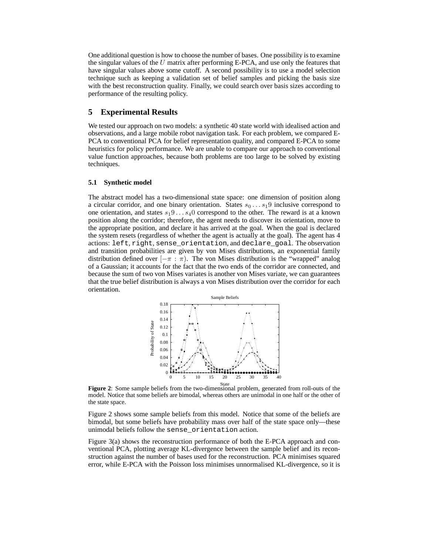One additional question is how to choose the number of bases. One possibility isto examine the singular values of the  $U$  matrix after performing E-PCA, and use only the features that have singular values above some cutoff. A second possibility is to use a model selection technique such as keeping a validation set of belief samples and picking the basis size with the best reconstruction quality. Finally, we could search over basis sizes according to performance of the resulting policy.

## **5 Experimental Results**

We tested our approach on two models: a synthetic 40 state world with idealised action and observations, and a large mobile robot navigation task. For each problem, we compared E-PCA to conventional PCA for belief representation quality, and compared E-PCA to some heuristics for policy performance. We are unable to compare our approach to conventional value function approaches, because both problems are too large to be solved by existing techniques.

### **5.1 Synthetic model**

The abstract model has a two-dimensional state space: one dimension of position along a circular corridor, and one binary orientation. States  $s_0 \dots s_1 9$  inclusive correspond to one orientation, and states  $s_1 9 \ldots s_4 0$  correspond to the other. The reward is at a known position along the corridor; therefore, the agent needs to discover its orientation, move to the appropriate position, and declare it has arrived at the goal. When the goal is declared the system resets (regardless of whether the agent is actually at the goal). The agent has 4 actions: left, right, sense\_orientation, and declare\_goal. The observation and transition probabilities are given by von Mises distributions, an exponential family distribution defined over  $[-\pi : \pi]$ . The von Mises distribution is the "wrapped" analog of a Gaussian; it accounts for the fact that the two ends of the corridor are connected, and because the sum of two von Mises variates is another von Mises variate, we can guarantees that the true belief distribution is always a von Mises distribution over the corridor for each orientation.



State **Figure 2**: Some sample beliefs from the two-dimensional problem, generated from roll-outs of the model. Notice that some beliefs are bimodal, whereas others are unimodal in one half or the other of the state space.

Figure 2 shows some sample beliefs from this model. Notice that some of the beliefs are bimodal, but some beliefs have probability mass over half of the state space only—these unimodal beliefs follow the sense\_orientation action.

Figure 3(a) shows the reconstruction performance of both the E-PCA approach and conventional PCA, plotting average KL-divergence between the sample belief and its reconstruction against the number of bases used for the reconstruction. PCA minimises squared error, while E-PCA with the Poisson loss minimises unnormalised KL-divergence, so it is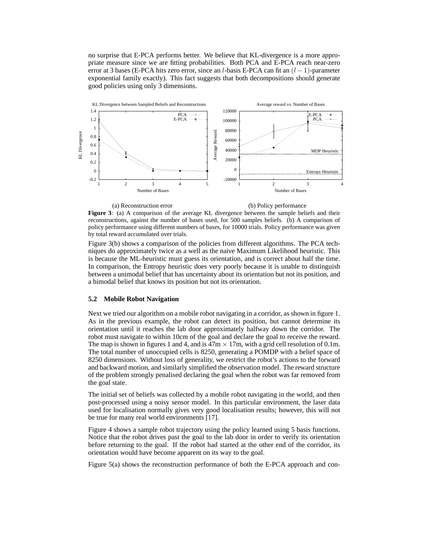no surprise that E-PCA performs better. We believe that KL-divergence is a more appropriate measure since we are fitting probabilities. Both PCA and E-PCA reach near-zero error at 3 bases (E-PCA hits zero error, since an l-basis E-PCA can fit an  $(l - 1)$ -parameter exponential family exactly). This fact suggests that both decompositions should generate good policies using only 3 dimensions.



(a) Reconstruction error

(b) Policy performance

**Figure 3**: (a) A comparison of the average KL divergence between the sample beliefs and their reconstructions, against the number of bases used, for 500 samples beliefs. (b) A comparison of policy performance using different numbers of bases, for 10000 trials. Policy performance was given by total reward accumulated over trials.

Figure 3(b) shows a comparison of the policies from different algorithms. The PCA techniques do approximately twice as a well as the naive Maximum Likelihood heuristic. This is because the ML-heuristic must guess its orientation, and is correct about half the time. In comparison, the Entropy heuristic does very poorly because it is unable to distinguish between a unimodal belief that has uncertainty about its orientation but not its position, and a bimodal belief that knows its position but not its orientation.

### **5.2 Mobile Robot Navigation**

Next we tried our algorithm on a mobile robot navigating in a corridor, as shown in figure 1. As in the previous example, the robot can detect its position, but cannot determine its orientation until it reaches the lab door approximately halfway down the corridor. The robot must navigate to within 10cm of the goal and declare the goal to receive the reward. The map is shown in figures 1 and 4, and is  $47m \times 17m$ , with a grid cell resolution of 0.1m. The total number of unoccupied cells is 8250, generating a POMDP with a belief space of 8250 dimensions. Without loss of generality, we restrict the robot's actions to the forward and backward motion, and similarly simplified the observation model. The reward structure of the problem strongly penalised declaring the goal when the robot was far removed from the goal state.

The initial set of beliefs was collected by a mobile robot navigating in the world, and then post-processed using a noisy sensor model. In this particular environment, the laser data used for localisation normally gives very good localisation results; however, this will not be true for many real world environments [17].

Figure 4 shows a sample robot trajectory using the policy learned using 5 basis functions. Notice that the robot drives past the goal to the lab door in order to verify its orientation before returning to the goal. If the robot had started at the other end of the corridor, its orientation would have become apparent on its way to the goal.

Figure 5(a) shows the reconstruction performance of both the E-PCA approach and con-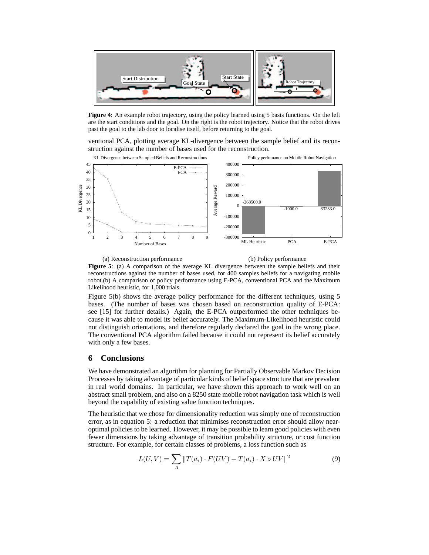

**Figure 4**: An example robot trajectory, using the policy learned using 5 basis functions. On the left are the start conditions and the goal. On the right is the robot trajectory. Notice that the robot drives past the goal to the lab door to localise itself, before returning to the goal.

ventional PCA, plotting average KL-divergence between the sample belief and its reconstruction against the number of bases used for the reconstruction.



(a) Reconstruction performance (b) Policy performance **Figure 5**: (a) A comparison of the average KL divergence between the sample beliefs and their reconstructions against the number of bases used, for 400 samples beliefs for a navigating mobile robot.(b) A comparison of policy performance using E-PCA, conventional PCA and the Maximum Likelihood heuristic, for 1,000 trials.

Figure 5(b) shows the average policy performance for the different techniques, using 5 bases. (The number of bases was chosen based on reconstruction quality of E-PCA: see [15] for further details.) Again, the E-PCA outperformed the other techniques because it was able to model its belief accurately. The Maximum-Likelihood heuristic could not distinguish orientations, and therefore regularly declared the goal in the wrong place. The conventional PCA algorithm failed because it could not represent its belief accurately with only a few bases.

## **6 Conclusions**

We have demonstrated an algorithm for planning for Partially Observable Markov Decision Processes by taking advantage of particular kinds of belief space structure that are prevalent in real world domains. In particular, we have shown this approach to work well on an abstract small problem, and also on a 8250 state mobile robot navigation task which is well beyond the capability of existing value function techniques.

The heuristic that we chose for dimensionality reduction was simply one of reconstruction error, as in equation 5: a reduction that minimises reconstruction error should allow nearoptimal policies to be learned. However, it may be possible to learn good policies with even fewer dimensions by taking advantage of transition probability structure, or cost function structure. For example, for certain classes of problems, a loss function such as

$$
L(U,V) = \sum_{A} ||T(a_i) \cdot F(UV) - T(a_i) \cdot X \circ UV||^2
$$
\n(9)